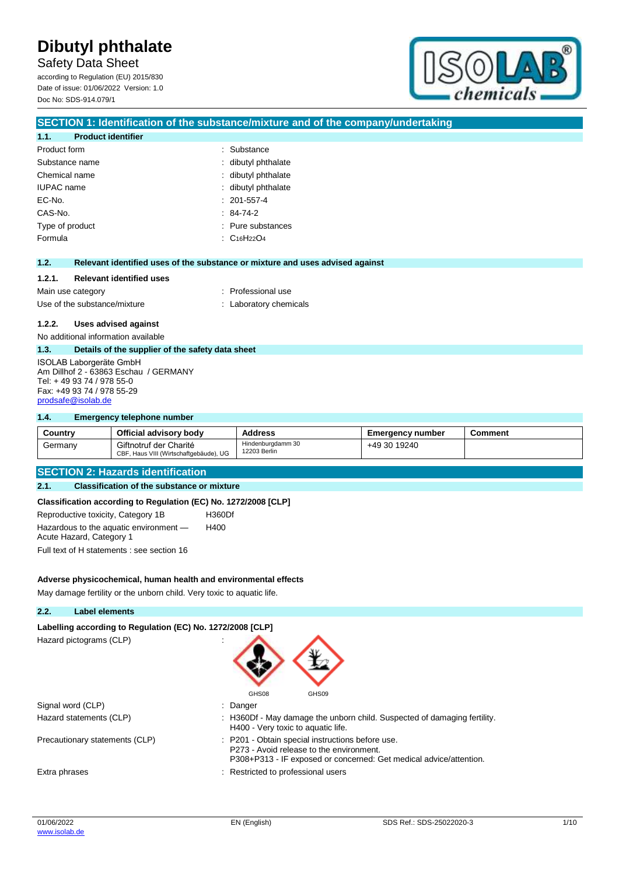Safety Data Sheet according to Regulation (EU) 2015/830 Date of issue: 01/06/2022 Version: 1.0

Doc No: SDS-914.079/1



# **SECTION 1: Identification of the substance/mixture and of the company/undertaking 1.1. Product identifier** Product form **: Substance** : Substance Substance name  $\qquad \qquad$ : dibutyl phthalate Chemical name : dibutyl phthalate IUPAC name : dibutyl phthalate EC-No. : 201-557-4 CAS-No. : 84-74-2 Type of product in the substances in the substances in the substances in the substances Formula : C16H22O4 **1.2. Relevant identified uses of the substance or mixture and uses advised against 1.2.1. Relevant identified uses** Main use category **interest and the COV** method of the Professional use Use of the substance/mixture in the substance/mixture in the substance in the substance in the substance of the substance in the substance in the substance in the substance in the substance in the substance in the substanc **1.2.2. Uses advised against** No additional information available **1.3. Details of the supplier of the safety data sheet** ISOLAB Laborgeräte GmbH Am Dillhof 2 - 63863 Eschau / GERMANY Tel: + 49 93 74 / 978 55-0 Fax: +49 93 74 / 978 55-29 [prodsafe@isolab.de](mailto:prodsafe@isolab.de)

#### **1.4. Emergency telephone number**

| Country | Official advisory body                                           | <b>Address</b>                    | <b>Emergency number</b> | <b>Comment</b> |
|---------|------------------------------------------------------------------|-----------------------------------|-------------------------|----------------|
| Germanv | Giftnotruf der Charité<br>CBF, Haus VIII (Wirtschaftgebäude), UG | Hindenburgdamm 30<br>12203 Berlin | +49 30 19240            |                |

# **SECTION 2: Hazards identification**

### **2.1. Classification of the substance or mixture**

#### **Classification according to Regulation (EC) No. 1272/2008 [CLP]**

Reproductive toxicity, Category 1B H360Df Hazardous to the aquatic environment — Acute Hazard, Category 1 H400 Full text of H statements : see section 16

**Adverse physicochemical, human health and environmental effects**

May damage fertility or the unborn child. Very toxic to aquatic life.

#### **2.2. Label elements**

#### **Labelling according to Regulation (EC) No. 1272/2008 [CLP]**

Hazard pictograms (CLP) :



| Signal word (CLP)       | : Danger                                                                                                       |
|-------------------------|----------------------------------------------------------------------------------------------------------------|
| Hazard statements (CLP) | : H360Df - May damage the unborn child. Suspected of damaging fertility.<br>H400 - Very toxic to aquatic life. |
|                         |                                                                                                                |

Precautionary statements (CLP) : P201 - Obtain special instructions before use.

Extra phrases **Extra phrases** : Restricted to professional users

P273 - Avoid release to the environment.

P308+P313 - IF exposed or concerned: Get medical advice/attention.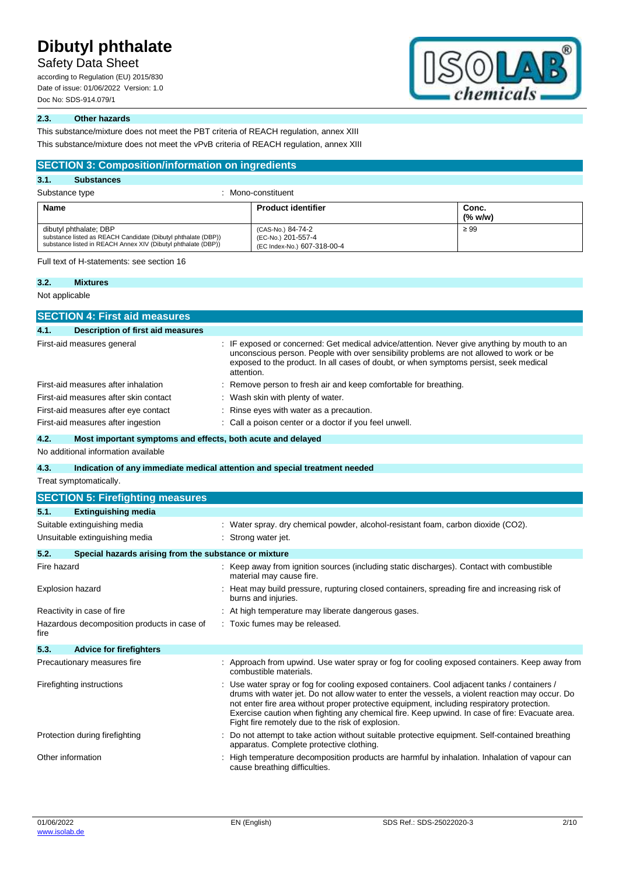Safety Data Sheet

according to Regulation (EU) 2015/830 Date of issue: 01/06/2022 Version: 1.0 Doc No: SDS-914.079/1



# **2.3. Other hazards**

This substance/mixture does not meet the PBT criteria of REACH regulation, annex XIII

This substance/mixture does not meet the vPvB criteria of REACH regulation, annex XIII

| <b>SECTION 3: Composition/information on ingredients</b>                                                                                                 |                                                                           |                  |  |  |
|----------------------------------------------------------------------------------------------------------------------------------------------------------|---------------------------------------------------------------------------|------------------|--|--|
| 3.1.<br><b>Substances</b>                                                                                                                                |                                                                           |                  |  |  |
| Substance type                                                                                                                                           | Mono-constituent                                                          |                  |  |  |
| Name                                                                                                                                                     | <b>Product identifier</b>                                                 | Conc.<br>(% w/w) |  |  |
| dibutyl phthalate; DBP<br>substance listed as REACH Candidate (Dibutyl phthalate (DBP))<br>substance listed in REACH Annex XIV (Dibutyl phthalate (DBP)) | (CAS-No.) 84-74-2<br>(EC-No.) 201-557-4<br>$(FC Index-Mo)$ $607-318-00-4$ | $\geq 99$        |  |  |

(EC Index-No.) 607-318-00-4

Full text of H-statements: see section 16

#### **3.2. Mixtures**

Not applicable

|                         | <b>SECTION 4: First aid measures</b>                        |                                                                                                                                                                                                                                                                                                                                                                                                                                                     |  |
|-------------------------|-------------------------------------------------------------|-----------------------------------------------------------------------------------------------------------------------------------------------------------------------------------------------------------------------------------------------------------------------------------------------------------------------------------------------------------------------------------------------------------------------------------------------------|--|
| 4.1.                    | <b>Description of first aid measures</b>                    |                                                                                                                                                                                                                                                                                                                                                                                                                                                     |  |
|                         | First-aid measures general                                  | IF exposed or concerned: Get medical advice/attention. Never give anything by mouth to an<br>unconscious person. People with over sensibility problems are not allowed to work or be<br>exposed to the product. In all cases of doubt, or when symptoms persist, seek medical<br>attention.                                                                                                                                                         |  |
|                         | First-aid measures after inhalation                         | Remove person to fresh air and keep comfortable for breathing.                                                                                                                                                                                                                                                                                                                                                                                      |  |
|                         | First-aid measures after skin contact                       | Wash skin with plenty of water.                                                                                                                                                                                                                                                                                                                                                                                                                     |  |
|                         | First-aid measures after eye contact                        | Rinse eyes with water as a precaution.                                                                                                                                                                                                                                                                                                                                                                                                              |  |
|                         | First-aid measures after ingestion                          | Call a poison center or a doctor if you feel unwell.                                                                                                                                                                                                                                                                                                                                                                                                |  |
| 4.2.                    | Most important symptoms and effects, both acute and delayed |                                                                                                                                                                                                                                                                                                                                                                                                                                                     |  |
|                         | No additional information available                         |                                                                                                                                                                                                                                                                                                                                                                                                                                                     |  |
| 4.3.                    |                                                             | Indication of any immediate medical attention and special treatment needed                                                                                                                                                                                                                                                                                                                                                                          |  |
|                         | Treat symptomatically.                                      |                                                                                                                                                                                                                                                                                                                                                                                                                                                     |  |
|                         | <b>SECTION 5: Firefighting measures</b>                     |                                                                                                                                                                                                                                                                                                                                                                                                                                                     |  |
| 5.1.                    | <b>Extinguishing media</b>                                  |                                                                                                                                                                                                                                                                                                                                                                                                                                                     |  |
|                         | Suitable extinguishing media                                | : Water spray. dry chemical powder, alcohol-resistant foam, carbon dioxide (CO2).                                                                                                                                                                                                                                                                                                                                                                   |  |
|                         | Unsuitable extinguishing media                              | Strong water jet.                                                                                                                                                                                                                                                                                                                                                                                                                                   |  |
| 5.2.                    | Special hazards arising from the substance or mixture       |                                                                                                                                                                                                                                                                                                                                                                                                                                                     |  |
| Fire hazard             |                                                             | : Keep away from ignition sources (including static discharges). Contact with combustible<br>material may cause fire.                                                                                                                                                                                                                                                                                                                               |  |
| <b>Explosion hazard</b> |                                                             | Heat may build pressure, rupturing closed containers, spreading fire and increasing risk of<br>burns and injuries.                                                                                                                                                                                                                                                                                                                                  |  |
|                         | Reactivity in case of fire                                  | At high temperature may liberate dangerous gases.                                                                                                                                                                                                                                                                                                                                                                                                   |  |
| fire                    | Hazardous decomposition products in case of                 | Toxic fumes may be released.                                                                                                                                                                                                                                                                                                                                                                                                                        |  |
| 5.3.                    | <b>Advice for firefighters</b>                              |                                                                                                                                                                                                                                                                                                                                                                                                                                                     |  |
|                         | Precautionary measures fire                                 | : Approach from upwind. Use water spray or fog for cooling exposed containers. Keep away from<br>combustible materials.                                                                                                                                                                                                                                                                                                                             |  |
|                         | Firefighting instructions                                   | : Use water spray or fog for cooling exposed containers. Cool adjacent tanks / containers /<br>drums with water jet. Do not allow water to enter the vessels, a violent reaction may occur. Do<br>not enter fire area without proper protective equipment, including respiratory protection.<br>Exercise caution when fighting any chemical fire. Keep upwind. In case of fire: Evacuate area.<br>Fight fire remotely due to the risk of explosion. |  |
|                         | Protection during firefighting                              | Do not attempt to take action without suitable protective equipment. Self-contained breathing<br>apparatus. Complete protective clothing.                                                                                                                                                                                                                                                                                                           |  |
| Other information       |                                                             | High temperature decomposition products are harmful by inhalation. Inhalation of vapour can<br>cause breathing difficulties.                                                                                                                                                                                                                                                                                                                        |  |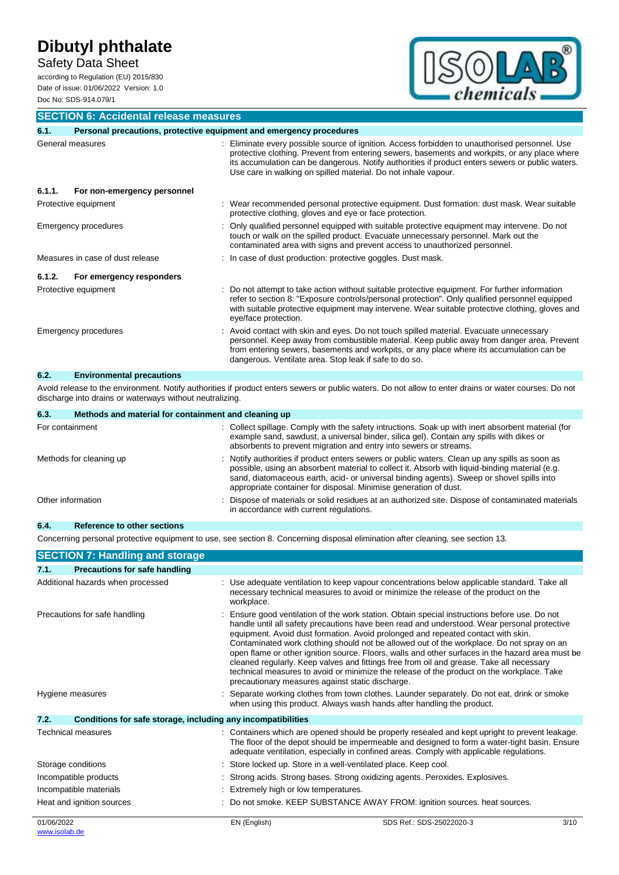Safety Data Sheet

according to Regulation (EU) 2015/830 Date of issue: 01/06/2022 Version: 1.0 Doc No: SDS-914.079/1



**SECTION 6: Accidental release measures**

| 6.1.   | Personal precautions, protective equipment and emergency procedures |                                                                                                                                                                                                                                                                                                                                                                       |
|--------|---------------------------------------------------------------------|-----------------------------------------------------------------------------------------------------------------------------------------------------------------------------------------------------------------------------------------------------------------------------------------------------------------------------------------------------------------------|
|        | General measures                                                    | : Eliminate every possible source of ignition. Access forbidden to unauthorised personnel. Use<br>protective clothing. Prevent from entering sewers, basements and workpits, or any place where<br>its accumulation can be dangerous. Notify authorities if product enters sewers or public waters.<br>Use care in walking on spilled material. Do not inhale vapour. |
| 6.1.1. | For non-emergency personnel                                         |                                                                                                                                                                                                                                                                                                                                                                       |
|        | Protective equipment                                                | : Wear recommended personal protective equipment. Dust formation: dust mask. Wear suitable<br>protective clothing, gloves and eye or face protection.                                                                                                                                                                                                                 |
|        | Emergency procedures                                                | Only qualified personnel equipped with suitable protective equipment may intervene. Do not<br>touch or walk on the spilled product. Evacuate unnecessary personnel. Mark out the<br>contaminated area with signs and prevent access to unauthorized personnel.                                                                                                        |
|        | Measures in case of dust release                                    | : In case of dust production: protective goggles. Dust mask.                                                                                                                                                                                                                                                                                                          |
| 6.1.2. | For emergency responders                                            |                                                                                                                                                                                                                                                                                                                                                                       |
|        | Protective equipment                                                | : Do not attempt to take action without suitable protective equipment. For further information<br>refer to section 8: "Exposure controls/personal protection". Only qualified personnel equipped<br>with suitable protective equipment may intervene. Wear suitable protective clothing, gloves and<br>eye/face protection.                                           |
|        | <b>Emergency procedures</b>                                         | : Avoid contact with skin and eyes. Do not touch spilled material. Evacuate unnecessary<br>personnel. Keep away from combustible material. Keep public away from danger area. Prevent<br>from entering sewers, basements and workpits, or any place where its accumulation can be<br>dangerous. Ventilate area. Stop leak if safe to do so.                           |
| 6.2.   | <b>Environmental precautions</b>                                    |                                                                                                                                                                                                                                                                                                                                                                       |
|        |                                                                     |                                                                                                                                                                                                                                                                                                                                                                       |

Avoid release to the environment. Notify authorities if product enters sewers or public waters. Do not allow to enter drains or water courses. Do not discharge into drains or waterways without neutralizing.

| Methods and material for containment and cleaning up<br>6.3. |                                                                                                                                                                                                                                                                                                                                                                   |
|--------------------------------------------------------------|-------------------------------------------------------------------------------------------------------------------------------------------------------------------------------------------------------------------------------------------------------------------------------------------------------------------------------------------------------------------|
| For containment                                              | : Collect spillage. Comply with the safety intructions. Soak up with inert absorbent material (for<br>example sand, sawdust, a universal binder, silica gel). Contain any spills with dikes or<br>absorbents to prevent migration and entry into sewers or streams.                                                                                               |
| Methods for cleaning up                                      | : Notify authorities if product enters sewers or public waters. Clean up any spills as soon as<br>possible, using an absorbent material to collect it. Absorb with liquid-binding material (e.g.<br>sand, diatomaceous earth, acid- or universal binding agents). Sweep or shovel spills into<br>appropriate container for disposal. Minimise generation of dust. |
| Other information                                            | : Dispose of materials or solid residues at an authorized site. Dispose of contaminated materials<br>in accordance with current regulations.                                                                                                                                                                                                                      |

# **6.4. Reference to other sections**

Concerning personal protective equipment to use, see section 8. Concerning disposal elimination after cleaning, see section 13.

| <b>SECTION 7: Handling and storage</b>                               |  |                                                  |                                                                                                                                                                                                                                                                                                                                                                                                                                                                                                                                                                                                                                                                          |      |
|----------------------------------------------------------------------|--|--------------------------------------------------|--------------------------------------------------------------------------------------------------------------------------------------------------------------------------------------------------------------------------------------------------------------------------------------------------------------------------------------------------------------------------------------------------------------------------------------------------------------------------------------------------------------------------------------------------------------------------------------------------------------------------------------------------------------------------|------|
| <b>Precautions for safe handling</b><br>7.1.                         |  |                                                  |                                                                                                                                                                                                                                                                                                                                                                                                                                                                                                                                                                                                                                                                          |      |
| Additional hazards when processed                                    |  | workplace.                                       | : Use adequate ventilation to keep vapour concentrations below applicable standard. Take all<br>necessary technical measures to avoid or minimize the release of the product on the                                                                                                                                                                                                                                                                                                                                                                                                                                                                                      |      |
| Precautions for safe handling                                        |  | precautionary measures against static discharge. | Ensure good ventilation of the work station. Obtain special instructions before use. Do not<br>handle until all safety precautions have been read and understood. Wear personal protective<br>equipment. Avoid dust formation. Avoid prolonged and repeated contact with skin.<br>Contaminated work clothing should not be allowed out of the workplace. Do not spray on an<br>open flame or other ignition source. Floors, walls and other surfaces in the hazard area must be<br>cleaned regularly. Keep valves and fittings free from oil and grease. Take all necessary<br>technical measures to avoid or minimize the release of the product on the workplace. Take |      |
| Hygiene measures                                                     |  |                                                  | Separate working clothes from town clothes. Launder separately. Do not eat, drink or smoke<br>when using this product. Always wash hands after handling the product.                                                                                                                                                                                                                                                                                                                                                                                                                                                                                                     |      |
| 7.2.<br>Conditions for safe storage, including any incompatibilities |  |                                                  |                                                                                                                                                                                                                                                                                                                                                                                                                                                                                                                                                                                                                                                                          |      |
| Technical measures                                                   |  |                                                  | : Containers which are opened should be properly resealed and kept upright to prevent leakage.<br>The floor of the depot should be impermeable and designed to form a water-tight basin. Ensure<br>adequate ventilation, especially in confined areas. Comply with applicable regulations.                                                                                                                                                                                                                                                                                                                                                                               |      |
| Storage conditions                                                   |  |                                                  | Store locked up. Store in a well-ventilated place. Keep cool.                                                                                                                                                                                                                                                                                                                                                                                                                                                                                                                                                                                                            |      |
| Incompatible products                                                |  |                                                  | Strong acids. Strong bases. Strong oxidizing agents. Peroxides. Explosives.                                                                                                                                                                                                                                                                                                                                                                                                                                                                                                                                                                                              |      |
| Incompatible materials                                               |  | Extremely high or low temperatures.              |                                                                                                                                                                                                                                                                                                                                                                                                                                                                                                                                                                                                                                                                          |      |
| Heat and ignition sources                                            |  |                                                  | Do not smoke. KEEP SUBSTANCE AWAY FROM: ignition sources. heat sources.                                                                                                                                                                                                                                                                                                                                                                                                                                                                                                                                                                                                  |      |
| 01/06/2022                                                           |  | EN (English)                                     | SDS Ref.: SDS-25022020-3                                                                                                                                                                                                                                                                                                                                                                                                                                                                                                                                                                                                                                                 | 3/10 |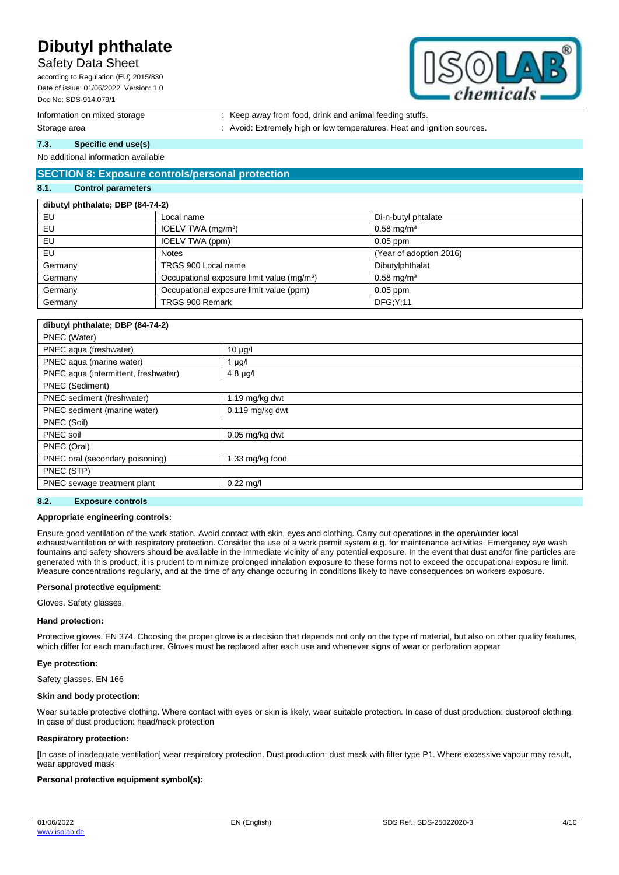# Safety Data Sheet

according to Regulation (EU) 2015/830 Date of issue: 01/06/2022 Version: 1.0 Doc No: SDS-914.079/1



- Information on mixed storage : Keep away from food, drink and animal feeding stuffs.
- Storage area **intervalse area in the state of the state of the state of the state of the state of the state of the state of the state of the state of the state of the state of the state of the state of the state of the sta**

**7.3. Specific end use(s)**

### No additional information available

# **SECTION 8: Exposure controls/personal protection**

#### **8.1. Control parameters**

| dibutyl phthalate; DBP (84-74-2) |                                                        |                         |  |  |
|----------------------------------|--------------------------------------------------------|-------------------------|--|--|
| EU                               | Local name                                             | Di-n-butyl phtalate     |  |  |
| EU                               | IOELV TWA (mg/m <sup>3</sup> )                         | $0.58 \text{ mg/m}^3$   |  |  |
| EU                               | IOELV TWA (ppm)                                        | $0.05$ ppm              |  |  |
| EU                               | <b>Notes</b>                                           | (Year of adoption 2016) |  |  |
| Germany                          | TRGS 900 Local name                                    | Dibutylphthalat         |  |  |
| Germany                          | Occupational exposure limit value (mg/m <sup>3</sup> ) | $0.58 \text{ mg/m}^3$   |  |  |
| Germany                          | Occupational exposure limit value (ppm)                | $0.05$ ppm              |  |  |
| Germany                          | TRGS 900 Remark                                        | DFG:Y:11                |  |  |

| dibutyl phthalate; DBP (84-74-2)     |                   |  |
|--------------------------------------|-------------------|--|
| PNEC (Water)                         |                   |  |
| PNEC aqua (freshwater)               | $10 \mu g/l$      |  |
| PNEC aqua (marine water)             | µg/l              |  |
| PNEC aqua (intermittent, freshwater) | $4.8$ µg/l        |  |
| <b>PNEC</b> (Sediment)               |                   |  |
| PNEC sediment (freshwater)           | 1.19 $mg/kg$ dwt  |  |
| PNEC sediment (marine water)         | $0.119$ mg/kg dwt |  |
| PNEC (Soil)                          |                   |  |
| PNEC soil                            | $0.05$ mg/kg dwt  |  |
| PNEC (Oral)                          |                   |  |
| PNEC oral (secondary poisoning)      | 1.33 mg/kg food   |  |
| PNEC (STP)                           |                   |  |
| PNEC sewage treatment plant          | $0.22$ mg/l       |  |
|                                      |                   |  |

### **8.2. Exposure controls**

#### **Appropriate engineering controls:**

Ensure good ventilation of the work station. Avoid contact with skin, eyes and clothing. Carry out operations in the open/under local exhaust/ventilation or with respiratory protection. Consider the use of a work permit system e.g. for maintenance activities. Emergency eye wash fountains and safety showers should be available in the immediate vicinity of any potential exposure. In the event that dust and/or fine particles are generated with this product, it is prudent to minimize prolonged inhalation exposure to these forms not to exceed the occupational exposure limit. Measure concentrations regularly, and at the time of any change occuring in conditions likely to have consequences on workers exposure.

#### **Personal protective equipment:**

Gloves. Safety glasses.

#### **Hand protection:**

Protective gloves. EN 374. Choosing the proper glove is a decision that depends not only on the type of material, but also on other quality features, which differ for each manufacturer. Gloves must be replaced after each use and whenever signs of wear or perforation appear

### **Eye protection:**

Safety glasses. EN 166

#### **Skin and body protection:**

Wear suitable protective clothing. Where contact with eyes or skin is likely, wear suitable protection. In case of dust production: dustproof clothing. In case of dust production: head/neck protection

#### **Respiratory protection:**

[In case of inadequate ventilation] wear respiratory protection. Dust production: dust mask with filter type P1. Where excessive vapour may result, wear approved mask

### **Personal protective equipment symbol(s):**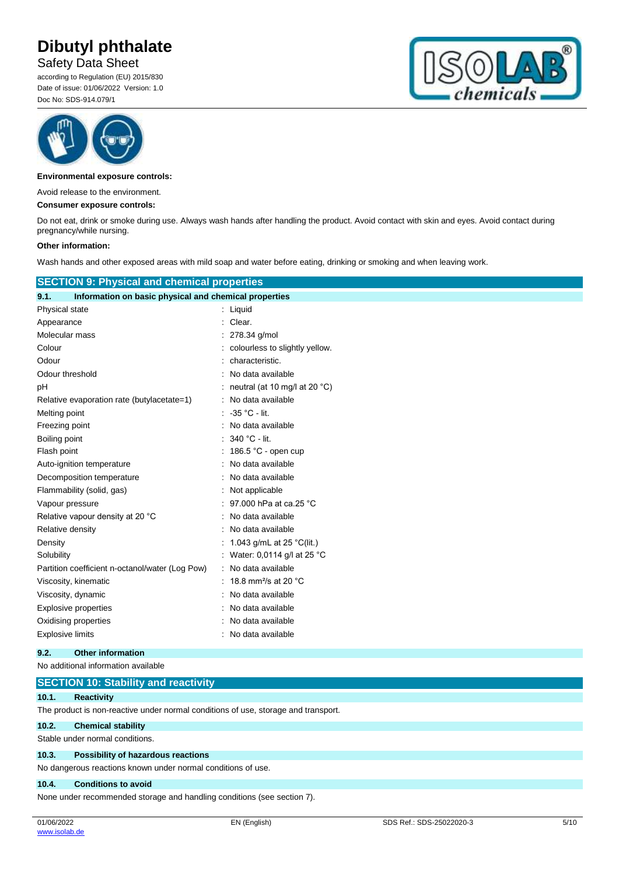Safety Data Sheet

according to Regulation (EU) 2015/830 Date of issue: 01/06/2022 Version: 1.0 Doc No: SDS-914.079/1





**Environmental exposure controls:**

Avoid release to the environment.

#### **Consumer exposure controls:**

Do not eat, drink or smoke during use. Always wash hands after handling the product. Avoid contact with skin and eyes. Avoid contact during pregnancy/while nursing.

#### **Other information:**

Wash hands and other exposed areas with mild soap and water before eating, drinking or smoking and when leaving work.

| <b>SECTION 9: Physical and chemical properties</b>            |                                              |
|---------------------------------------------------------------|----------------------------------------------|
| Information on basic physical and chemical properties<br>9.1. |                                              |
| Physical state                                                | : Liquid                                     |
| Appearance                                                    | : Clear.                                     |
| Molecular mass                                                | 278.34 g/mol                                 |
| Colour                                                        | colourless to slightly yellow.               |
| Odour                                                         | characteristic.                              |
| Odour threshold                                               | No data available                            |
| рH                                                            | : neutral (at 10 mg/l at 20 $^{\circ}$ C)    |
| Relative evaporation rate (butylacetate=1)                    | : No data available                          |
| Melting point                                                 | $\therefore$ 35 °C - lit.                    |
| Freezing point                                                | : No data available                          |
| Boiling point                                                 | $: 340 °C$ - lit.                            |
| Flash point                                                   | : 186.5 °C - open cup                        |
| Auto-ignition temperature                                     | : No data available                          |
| Decomposition temperature                                     | No data available                            |
| Flammability (solid, gas)                                     | Not applicable                               |
| Vapour pressure                                               | 97.000 hPa at ca.25 °C                       |
| Relative vapour density at 20 °C                              | No data available                            |
| Relative density                                              | No data available                            |
| Density                                                       | : 1.043 g/mL at 25 °C(lit.)                  |
| Solubility                                                    | : Water: 0,0114 g/l at 25 $^{\circ}$ C       |
| Partition coefficient n-octanol/water (Log Pow)               | : No data available                          |
| Viscosity, kinematic                                          | : 18.8 mm <sup>2</sup> /s at 20 $^{\circ}$ C |
| Viscosity, dynamic                                            | No data available                            |
| <b>Explosive properties</b>                                   | No data available                            |
| Oxidising properties                                          | No data available                            |
| <b>Explosive limits</b>                                       | : No data available                          |
| 9.2.<br><b>Other information</b>                              |                                              |

No additional information available

|                                                              | <b>SECTION 10: Stability and reactivity</b>                                        |  |  |  |
|--------------------------------------------------------------|------------------------------------------------------------------------------------|--|--|--|
| 10.1.                                                        | <b>Reactivity</b>                                                                  |  |  |  |
|                                                              | The product is non-reactive under normal conditions of use, storage and transport. |  |  |  |
| 10.2.                                                        | <b>Chemical stability</b>                                                          |  |  |  |
|                                                              | Stable under normal conditions.                                                    |  |  |  |
| 10.3.                                                        | Possibility of hazardous reactions                                                 |  |  |  |
| No dangerous reactions known under normal conditions of use. |                                                                                    |  |  |  |
| 10.4.                                                        | <b>Conditions to avoid</b>                                                         |  |  |  |

None under recommended storage and handling conditions (see section 7).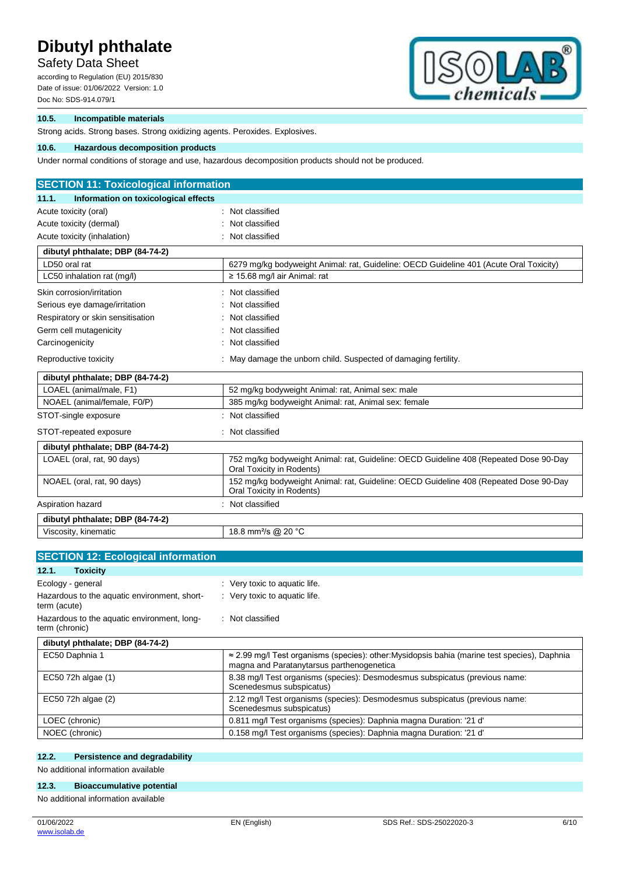Safety Data Sheet

according to Regulation (EU) 2015/830 Date of issue: 01/06/2022 Version: 1.0 Doc No: SDS-914.079/1



## **10.5. Incompatible materials**

Strong acids. Strong bases. Strong oxidizing agents. Peroxides. Explosives.

## **10.6. Hazardous decomposition products**

Under normal conditions of storage and use, hazardous decomposition products should not be produced.

| <b>SECTION 11: Toxicological information</b>                  |                                                                                                                    |
|---------------------------------------------------------------|--------------------------------------------------------------------------------------------------------------------|
| 11.1.<br>Information on toxicological effects                 |                                                                                                                    |
| Acute toxicity (oral)                                         | Not classified                                                                                                     |
| Acute toxicity (dermal)                                       | Not classified                                                                                                     |
| Acute toxicity (inhalation)                                   | Not classified                                                                                                     |
| dibutyl phthalate; DBP (84-74-2)                              |                                                                                                                    |
| LD50 oral rat                                                 | 6279 mg/kg bodyweight Animal: rat, Guideline: OECD Guideline 401 (Acute Oral Toxicity)                             |
| LC50 inhalation rat (mg/l)                                    | $\geq$ 15.68 mg/l air Animal: rat                                                                                  |
| Skin corrosion/irritation                                     | Not classified                                                                                                     |
| Serious eye damage/irritation                                 | Not classified                                                                                                     |
| Respiratory or skin sensitisation                             | Not classified                                                                                                     |
| Germ cell mutagenicity                                        | Not classified                                                                                                     |
| Carcinogenicity                                               | Not classified                                                                                                     |
| Reproductive toxicity                                         | May damage the unborn child. Suspected of damaging fertility.                                                      |
| dibutyl phthalate; DBP (84-74-2)                              |                                                                                                                    |
| LOAEL (animal/male, F1)                                       | 52 mg/kg bodyweight Animal: rat, Animal sex: male                                                                  |
| NOAEL (animal/female, F0/P)                                   | 385 mg/kg bodyweight Animal: rat, Animal sex: female                                                               |
| STOT-single exposure                                          | Not classified                                                                                                     |
| STOT-repeated exposure                                        | Not classified                                                                                                     |
| dibutyl phthalate; DBP (84-74-2)                              |                                                                                                                    |
| LOAEL (oral, rat, 90 days)                                    | 752 mg/kg bodyweight Animal: rat, Guideline: OECD Guideline 408 (Repeated Dose 90-Day<br>Oral Toxicity in Rodents) |
| NOAEL (oral, rat, 90 days)                                    | 152 mg/kg bodyweight Animal: rat, Guideline: OECD Guideline 408 (Repeated Dose 90-Day<br>Oral Toxicity in Rodents) |
| Aspiration hazard                                             | Not classified                                                                                                     |
| dibutyl phthalate; DBP (84-74-2)                              |                                                                                                                    |
| Viscosity, kinematic                                          | 18.8 mm <sup>2</sup> /s @ 20 °C                                                                                    |
|                                                               |                                                                                                                    |
| <b>SECTION 12: Ecological information</b>                     |                                                                                                                    |
| 12.1.<br><b>Toxicity</b>                                      |                                                                                                                    |
| Ecology - general                                             | : Very toxic to aquatic life.                                                                                      |
| Hazardous to the aquatic environment, short-<br>term (acute)  | : Very toxic to aquatic life.                                                                                      |
| Hazardous to the aquatic environment, long-<br>term (chronic) | : Not classified                                                                                                   |

## **dibutyl phthalate; DBP (84-74-2)**

| EC50 Daphnia 1     | $\approx$ 2.99 mg/l Test organisms (species): other: Mysidopsis bahia (marine test species), Daphnia<br>magna and Paratanytarsus parthenogenetica |
|--------------------|---------------------------------------------------------------------------------------------------------------------------------------------------|
| EC50 72h algae (1) | 8.38 mg/l Test organisms (species): Desmodesmus subspicatus (previous name:<br>Scenedesmus subspicatus)                                           |
| EC50 72h algae (2) | 2.12 mg/l Test organisms (species): Desmodesmus subspicatus (previous name:<br>Scenedesmus subspicatus)                                           |
| LOEC (chronic)     | 0.811 mg/l Test organisms (species): Daphnia magna Duration: '21 d'                                                                               |
| NOEC (chronic)     | 0.158 mg/l Test organisms (species): Daphnia magna Duration: '21 d'                                                                               |

### **12.2. Persistence and degradability**

No additional information available

# **12.3. Bioaccumulative potential**

No additional information available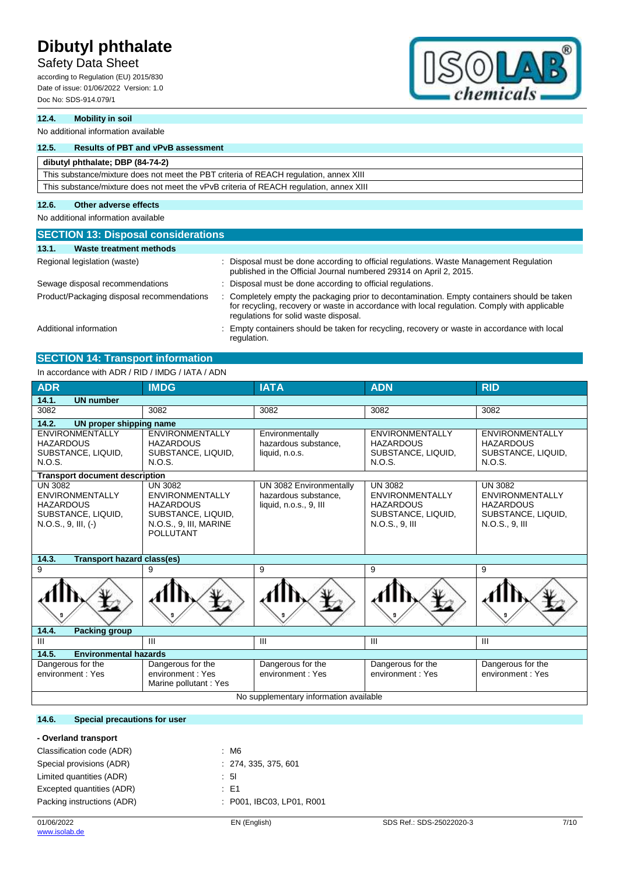# Safety Data Sheet

according to Regulation (EU) 2015/830 Date of issue: 01/06/2022 Version: 1.0 Doc No: SDS-914.079/1



## **12.4. Mobility in soil**

No additional information available

## **12.5. Results of PBT and vPvB assessment**

| dibutyl phthalate; DBP (84-74-2)                                                       |
|----------------------------------------------------------------------------------------|
| This substance/mixture does not meet the PBT criteria of REACH regulation, annex XIII  |
| This substance/mixture does not meet the vPvB criteria of REACH regulation, annex XIII |

# **12.6. Other adverse effects**

No additional information available

| <b>SECTION 13: Disposal considerations</b> |                                                                                                                                                                                                                                    |
|--------------------------------------------|------------------------------------------------------------------------------------------------------------------------------------------------------------------------------------------------------------------------------------|
| 13.1.<br>Waste treatment methods           |                                                                                                                                                                                                                                    |
| Regional legislation (waste)               | Disposal must be done according to official regulations. Waste Management Regulation<br>published in the Official Journal numbered 29314 on April 2, 2015.                                                                         |
| Sewage disposal recommendations            | Disposal must be done according to official regulations.                                                                                                                                                                           |
| Product/Packaging disposal recommendations | Completely empty the packaging prior to decontamination. Empty containers should be taken<br>for recycling, recovery or waste in accordance with local regulation. Comply with applicable<br>regulations for solid waste disposal. |
| Additional information                     | Empty containers should be taken for recycling, recovery or waste in accordance with local<br>regulation.                                                                                                                          |

# **SECTION 14: Transport information**

# In accordance with ADR / RID / IMDG / IATA / ADN

| <b>ADR</b>                                                                                                  | <b>IMDG</b>                                                                                                                      | <b>IATA</b>                                                               | <b>ADN</b>                                                                                           | <b>RID</b>                                                                                           |
|-------------------------------------------------------------------------------------------------------------|----------------------------------------------------------------------------------------------------------------------------------|---------------------------------------------------------------------------|------------------------------------------------------------------------------------------------------|------------------------------------------------------------------------------------------------------|
| 14.1.<br><b>UN number</b>                                                                                   |                                                                                                                                  |                                                                           |                                                                                                      |                                                                                                      |
| 3082                                                                                                        | 3082                                                                                                                             | 3082                                                                      | 3082                                                                                                 | 3082                                                                                                 |
| 14.2.<br>UN proper shipping name                                                                            |                                                                                                                                  |                                                                           |                                                                                                      |                                                                                                      |
| <b>ENVIRONMENTALLY</b><br><b>HAZARDOUS</b><br>SUBSTANCE, LIQUID,<br>N.O.S.                                  | <b>ENVIRONMENTALLY</b><br><b>HAZARDOUS</b><br>SUBSTANCE, LIQUID,<br>N.O.S.                                                       | Environmentally<br>hazardous substance,<br>liquid, n.o.s.                 | <b>ENVIRONMENTALLY</b><br><b>HAZARDOUS</b><br>SUBSTANCE, LIQUID,<br>N.O.S.                           | <b>ENVIRONMENTALLY</b><br><b>HAZARDOUS</b><br>SUBSTANCE, LIQUID,<br>N.O.S.                           |
| <b>Transport document description</b>                                                                       |                                                                                                                                  |                                                                           |                                                                                                      |                                                                                                      |
| <b>UN 3082</b><br><b>ENVIRONMENTALLY</b><br><b>HAZARDOUS</b><br>SUBSTANCE, LIQUID,<br>$N.O.S., 9, III, (-)$ | <b>UN 3082</b><br><b>ENVIRONMENTALLY</b><br><b>HAZARDOUS</b><br>SUBSTANCE, LIQUID.<br>N.O.S., 9, III, MARINE<br><b>POLLUTANT</b> | UN 3082 Environmentally<br>hazardous substance,<br>liquid, n.o.s., 9, III | <b>UN 3082</b><br><b>ENVIRONMENTALLY</b><br><b>HAZARDOUS</b><br>SUBSTANCE, LIQUID,<br>N.O.S., 9, III | <b>UN 3082</b><br><b>ENVIRONMENTALLY</b><br><b>HAZARDOUS</b><br>SUBSTANCE, LIQUID,<br>N.O.S., 9, III |
| 14.3.                                                                                                       | <b>Transport hazard class(es)</b>                                                                                                |                                                                           |                                                                                                      |                                                                                                      |
| 9                                                                                                           | 9                                                                                                                                | 9                                                                         | 9                                                                                                    | 9                                                                                                    |
|                                                                                                             |                                                                                                                                  |                                                                           |                                                                                                      |                                                                                                      |
| 14.4.<br><b>Packing group</b>                                                                               |                                                                                                                                  |                                                                           |                                                                                                      |                                                                                                      |
| $\overline{III}$                                                                                            | Ш                                                                                                                                | III                                                                       | III                                                                                                  | III                                                                                                  |
| 14.5.<br><b>Environmental hazards</b>                                                                       |                                                                                                                                  |                                                                           |                                                                                                      |                                                                                                      |
| Dangerous for the                                                                                           | Dangerous for the                                                                                                                | Dangerous for the                                                         | Dangerous for the                                                                                    | Dangerous for the                                                                                    |

environment : Yes

No supplementary information available

## **14.6. Special precautions for user**

### **- Overland transport**

environment : Yes

| Classification code (ADR)  | : M6                      |
|----------------------------|---------------------------|
| Special provisions (ADR)   | : 274, 335, 375, 601      |
| Limited quantities (ADR)   | : 51                      |
| Excepted quantities (ADR)  | : E1                      |
| Packing instructions (ADR) | : P001, IBC03, LP01, R001 |
|                            |                           |

environment : Yes Marine pollutant : Yes environment : Yes

environment : Yes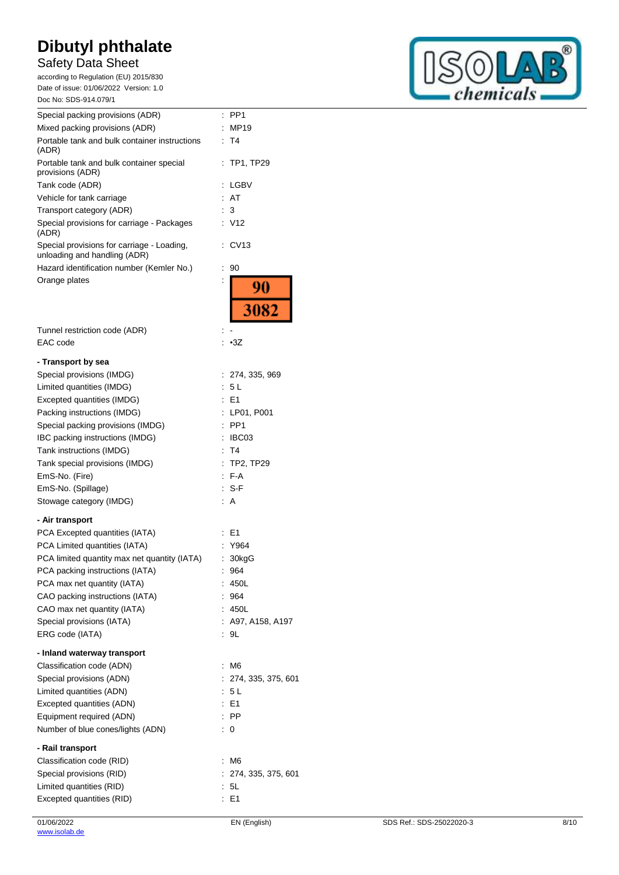# Safety Data Sheet

according to Regulation (EU) 2015/830 Date of issue: 01/06/2022 Version: 1.0 Doc No: SDS-914.079/1

| Special packing provisions (ADR)                                           | PP <sub>1</sub><br>t |
|----------------------------------------------------------------------------|----------------------|
| Mixed packing provisions (ADR)                                             | <b>MP19</b>          |
| Portable tank and bulk container instructions<br>(ADR)                     | T4                   |
| Portable tank and bulk container special<br>provisions (ADR)               | <b>TP1, TP29</b>     |
| Tank code (ADR)                                                            | LGBV                 |
| Vehicle for tank carriage                                                  | AT                   |
| Transport category (ADR)                                                   | 3                    |
| Special provisions for carriage - Packages<br>(ADR)                        | : V12                |
| Special provisions for carriage - Loading,<br>unloading and handling (ADR) | CV13                 |
| Hazard identification number (Kemler No.)                                  | 90<br>t              |
| Orange plates                                                              | 90                   |
|                                                                            | 3082                 |
| Tunnel restriction code (ADR)                                              |                      |
| EAC code                                                                   | $\cdot$ 3Z           |
| - Transport by sea                                                         |                      |
| Special provisions (IMDG)                                                  | 274, 335, 969        |
| Limited quantities (IMDG)                                                  | 5L                   |
| Excepted quantities (IMDG)                                                 | E <sub>1</sub>       |
| Packing instructions (IMDG)                                                | LP01, P001           |
| Special packing provisions (IMDG)                                          | PP <sub>1</sub>      |
| IBC packing instructions (IMDG)                                            | IBC03                |
| Tank instructions (IMDG)                                                   | T <sub>4</sub>       |
| Tank special provisions (IMDG)                                             | <b>TP2, TP29</b>     |
| EmS-No. (Fire)                                                             | F-A                  |
| EmS-No. (Spillage)                                                         | $S-F$                |
| Stowage category (IMDG)                                                    | A                    |
| Air trononort                                                              |                      |

### **- Air transport**

| PCA Excepted quantities (IATA)               | $E = 1$              |
|----------------------------------------------|----------------------|
| PCA Limited quantities (IATA)                | : Y964               |
| PCA limited quantity max net quantity (IATA) | 30kgG                |
| PCA packing instructions (IATA)              | : 964                |
| PCA max net quantity (IATA)                  | : 450L               |
| CAO packing instructions (IATA)              | 964                  |
| CAO max net quantity (IATA)                  | : 450L               |
| Special provisions (IATA)                    | : A97, A158, A197    |
| ERG code (IATA)                              | : 9L                 |
| - Inland waterway transport                  |                      |
| Classification code (ADN)                    | : M6                 |
| Special provisions (ADN)                     | : 274, 335, 375, 601 |
| Limited quantities (ADN)                     | 5L                   |
| Excepted quantities (ADN)                    | : E1                 |
| Equipment required (ADN)                     | $:$ PP               |
| Number of blue cones/lights (ADN)            | $\therefore$ 0       |
| - Rail transport                             |                      |
| Classification code (RID)                    | : M6                 |
| Special provisions (RID)                     | : 274, 335, 375, 601 |
| Limited quantities (RID)                     | : 5L                 |
| Excepted quantities (RID)                    | : E1                 |

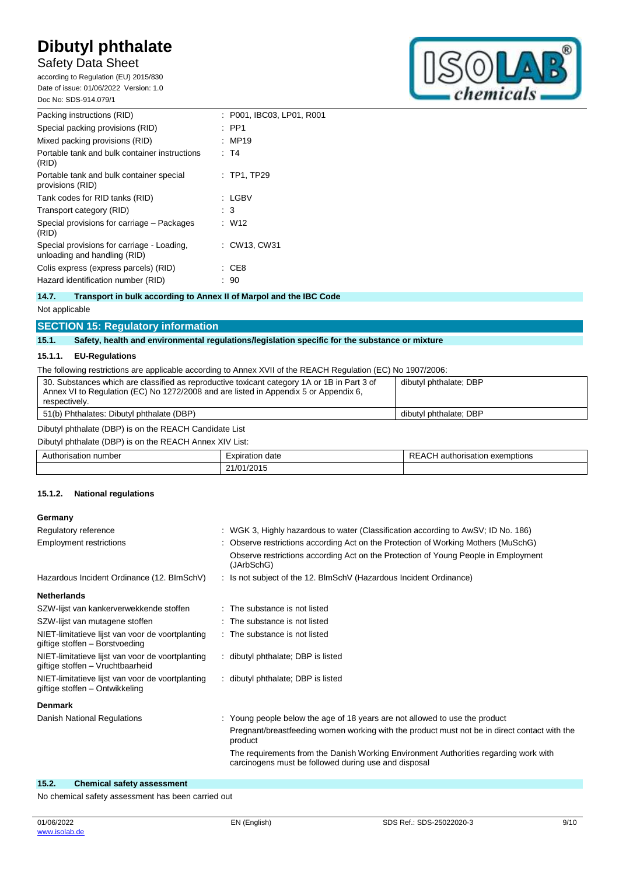# Safety Data Sheet

according to Regulation (EU) 2015/830 Date of issue: 01/06/2022 Version: 1.0 Doc No: SDS-914.079/1



| Packing instructions (RID)                                                 | : P001, IBC03, LP01, R001 |
|----------------------------------------------------------------------------|---------------------------|
| Special packing provisions (RID)                                           | $\therefore$ PP1          |
| Mixed packing provisions (RID)                                             | : MP19                    |
| Portable tank and bulk container instructions<br>(RID)                     | : T4                      |
| Portable tank and bulk container special<br>provisions (RID)               | $\therefore$ TP1. TP29    |
| Tank codes for RID tanks (RID)                                             | : LGBV                    |
| Transport category (RID)                                                   | : 3                       |
| Special provisions for carriage - Packages<br>(RID)                        | : W12                     |
| Special provisions for carriage - Loading.<br>unloading and handling (RID) | : CW13. CW31              |
| Colis express (express parcels) (RID)                                      | : CE8                     |
| Hazard identification number (RID)                                         | 90                        |
|                                                                            |                           |

# **14.7. Transport in bulk according to Annex II of Marpol and the IBC Code**

### Not applicable

# **SECTION 15: Regulatory information**

### **15.1. Safety, health and environmental regulations/legislation specific for the substance or mixture**

### **15.1.1. EU-Regulations**

The following restrictions are applicable according to Annex XVII of the REACH Regulation (EC) No 1907/2006:

| 30. Substances which are classified as reproductive toxicant category 1A or 1B in Part 3 of<br>Annex VI to Regulation (EC) No 1272/2008 and are listed in Appendix 5 or Appendix 6,<br>respectively. | dibutyl phthalate; DBP |
|------------------------------------------------------------------------------------------------------------------------------------------------------------------------------------------------------|------------------------|
| 51(b) Phthalates: Dibutyl phthalate (DBP)                                                                                                                                                            | dibutyl phthalate; DBP |
| Dibutyl phthalate (DBP) is on the REACH Candidate List                                                                                                                                               |                        |

Dibutyl phthalate (DBP) is on the REACH Annex XIV List:

| . number<br>،utr<br>.risatior<br>. | expiration<br>date | exemptions •<br>authorisation<br>$\cdots$<br>╲┖<br>76. |
|------------------------------------|--------------------|--------------------------------------------------------|
|                                    | 21/01/2015         |                                                        |

### **15.1.2. National regulations**

### **Germany**

| Regulatory reference                                                                 | : WGK 3, Highly hazardous to water (Classification according to AwSV; ID No. 186)                                                            |
|--------------------------------------------------------------------------------------|----------------------------------------------------------------------------------------------------------------------------------------------|
| <b>Employment restrictions</b>                                                       | : Observe restrictions according Act on the Protection of Working Mothers (MuSchG)                                                           |
|                                                                                      | Observe restrictions according Act on the Protection of Young People in Employment<br>(JArbSchG)                                             |
| Hazardous Incident Ordinance (12. BImSchV)                                           | : Is not subject of the 12. BlmSchV (Hazardous Incident Ordinance)                                                                           |
| <b>Netherlands</b>                                                                   |                                                                                                                                              |
| SZW-lijst van kankerverwekkende stoffen                                              | : The substance is not listed                                                                                                                |
| SZW-lijst van mutagene stoffen                                                       | : The substance is not listed                                                                                                                |
| NIET-limitatieve lijst van voor de voortplanting<br>giftige stoffen - Borstvoeding   | : The substance is not listed                                                                                                                |
| NIET-limitatieve lijst van voor de voortplanting<br>giftige stoffen - Vruchtbaarheid | : dibutyl phthalate; DBP is listed                                                                                                           |
| NIET-limitatieve lijst van voor de voortplanting<br>giftige stoffen - Ontwikkeling   | : dibutyl phthalate; DBP is listed                                                                                                           |
| <b>Denmark</b>                                                                       |                                                                                                                                              |
| Danish National Regulations                                                          | : Young people below the age of 18 years are not allowed to use the product                                                                  |
|                                                                                      | Pregnant/breastfeeding women working with the product must not be in direct contact with the<br>product                                      |
|                                                                                      | The requirements from the Danish Working Environment Authorities regarding work with<br>carcinogens must be followed during use and disposal |
|                                                                                      |                                                                                                                                              |

### **15.2. Chemical safety assessment**

No chemical safety assessment has been carried out